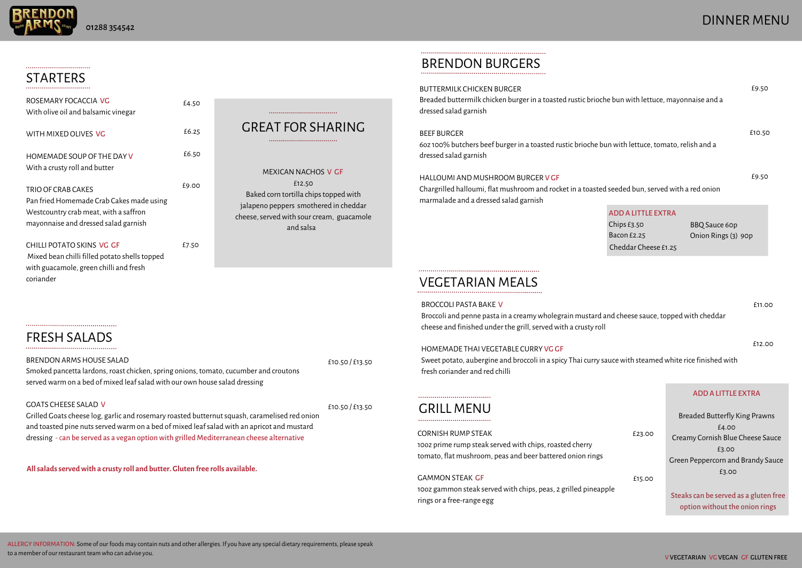## STARTERS

## GREAT FOR SHARING

## DINNER MENU

MEXICAN NACHOS V GF £12.50 Baked corn tortilla chips topped with jalapeno peppers smothered in cheddar cheese, served with sour cream, guacamole and salsa

| ROSEMARY FOCACCIA VG<br>With olive oil and balsamic vinegar                                                                                     | £4.50 |
|-------------------------------------------------------------------------------------------------------------------------------------------------|-------|
| WITH MIXED OLIVES VG                                                                                                                            | £6.25 |
| HOMEMADE SOUP OF THE DAY V<br>With a crusty roll and butter                                                                                     | £6.50 |
| TRIO OF CRAB CAKES<br>Pan fried Homemade Crab Cakes made using<br>Westcountry crab meat, with a saffron<br>mayonnaise and dressed salad garnish | £9.00 |
| CHILLI POTATO SKINS VG GF<br>Mixed bean chilli filled potato shells topped<br>with guacamole, green chilli and fresh<br>coriander               | £7.50 |

#### GOATS CHEESE SALAD V

Grilled Goats cheese log, garlic and rosemary roasted butternut squash, caramelised red onion and toasted pine nuts served warm on a bed of mixed leaf salad with an apricot and mustard dressing - can be served as a vegan option with grilled Mediterranean cheese alternative

Breaded buttermilk chicken burger in a toasted rustic brioche dressed salad garnish

BRENDONARMSHOUSE SALAD Smoked pancetta lardons, roast chicken, spring onions, tomato, cucumber and croutons served warm on a bed of mixed leaf salad with our own house salad dressing £10.50 / £13.50 60z 100% butchers beef burger in a toasted rustic brioche bu dressed salad garnish

Chargrilled halloumi, flat mushroom and rocket in a toasted marmalade and a dressed salad garnish

Broccoli and penne pasta in a creamywholegrain mustard and cheese sauce, toppedwith cheddar cheese and finished under the grill, served with a crusty roll

£10.50 / £13.50

## **BRENDON BURGERS**

#### BUTTERMILK CHICKEN BURGER

Sweet potato, aubergine and broccoli in a spicy Thai curry sauce with steamed white rice finished with fresh coriander and red chilli

ALLERGY INFORMATION: Some of our foods may contain nuts and other allergies. If you have any special dietary requirements, please speak to a member of our restaurant team who can advise you.

1002 prime rump steak served with chips, roasted cherry tomato, flat mushroom, peas and beer battered onion rings

10oz gammon steak served with chips, peas, 2 grilled pineappl rings or a free-range egg

# FRESH SALADS

**Allsaladsservedwith a crusty roll and butter. Gluten free rolls available.**



#### BEEF BURGER

#### HALLOUMI AND MUSHROOM BURGER V GF

#### VEGETARIAN MEALS

#### BROCCOLI PASTA BAKE V

| e bun with lettuce, mayonnaise and a                                              |                                             | £9.50  |
|-----------------------------------------------------------------------------------|---------------------------------------------|--------|
| n with lettuce, tomato, relish and a.                                             |                                             | £10.50 |
| seeded bun, served with a red onion                                               |                                             | £9.50  |
| <b>ADD A LITTLE EXTRA</b><br>Chips $E3.50$<br>Bacon £2.25<br>Cheddar Cheese £1.25 | <b>BBQ Sauce 60p</b><br>Onion Rings (3) 90p |        |

#### HOMEMADE THAI VEGETABLE CURRY VG GF

£11.00

#### GRILL MENU

#### CORNISH RUMP STEAK

#### GAMMONSTEAK GF

#### ADDA LITTLE EXTRA

|    |        | <b>Breaded Butterfly King Prawns</b>                                    |
|----|--------|-------------------------------------------------------------------------|
|    | £4.00  |                                                                         |
|    | £23.00 | Creamy Cornish Blue Cheese Sauce                                        |
|    |        | £3.00                                                                   |
|    |        | Green Peppercorn and Brandy Sauce                                       |
| le | £15.00 | £3.00                                                                   |
|    |        | Steaks can be served as a gluten free<br>option without the onion rings |

£12.00